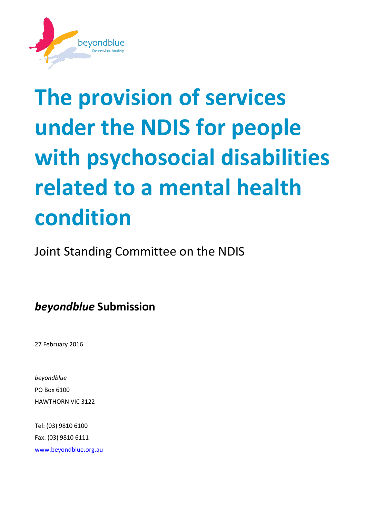

# **The provision of services under the NDIS for people with psychosocial disabilities related to a mental health condition**

Joint Standing Committee on the NDIS

*beyondblue* **Submission**

27 February 2016

*beyondblue* PO Box 6100 HAWTHORN VIC 3122

Tel: (03) 9810 6100 Fax: (03) 9810 6111 [www.beyondblue.org.au](http://www.beyondblue.org.au/)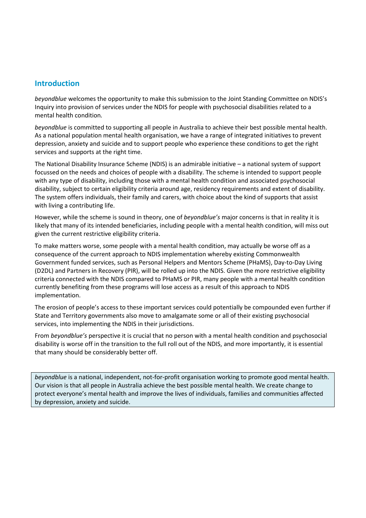## **Introduction**

*beyondblue* welcomes the opportunity to make this submission to the Joint Standing Committee on NDIS's Inquiry into provision of services under the NDIS for people with psychosocial disabilities related to a mental health condition*.* 

*beyondblue* is committed to supporting all people in Australia to achieve their best possible mental health. As a national population mental health organisation, we have a range of integrated initiatives to prevent depression, anxiety and suicide and to support people who experience these conditions to get the right services and supports at the right time.

The National Disability Insurance Scheme (NDIS) is an admirable initiative – a national system of support focussed on the needs and choices of people with a disability. The scheme is intended to support people with any type of disability, including those with a mental health condition and associated psychosocial disability, subject to certain eligibility criteria around age, residency requirements and extent of disability. The system offers individuals, their family and carers, with choice about the kind of supports that assist with living a contributing life.

However, while the scheme is sound in theory, one of *beyondblue's* major concerns is that in reality it is likely that many of its intended beneficiaries, including people with a mental health condition, will miss out given the current restrictive eligibility criteria.

To make matters worse, some people with a mental health condition, may actually be worse off as a consequence of the current approach to NDIS implementation whereby existing Commonwealth Government funded services, such as Personal Helpers and Mentors Scheme (PHaMS), Day-to-Day Living (D2DL) and Partners in Recovery (PIR), will be rolled up into the NDIS. Given the more restrictive eligibility criteria connected with the NDIS compared to PHaMS or PIR, many people with a mental health condition currently benefiting from these programs will lose access as a result of this approach to NDIS implementation.

The erosion of people's access to these important services could potentially be compounded even further if State and Territory governments also move to amalgamate some or all of their existing psychosocial services, into implementing the NDIS in their jurisdictions.

From *beyondblue's* perspective it is crucial that no person with a mental health condition and psychosocial disability is worse off in the transition to the full roll out of the NDIS, and more importantly, it is essential that many should be considerably better off.

*beyondblue* is a national, independent, not-for-profit organisation working to promote good mental health. Our vision is that all people in Australia achieve the best possible mental health. We create change to protect everyone's mental health and improve the lives of individuals, families and communities affected by depression, anxiety and suicide.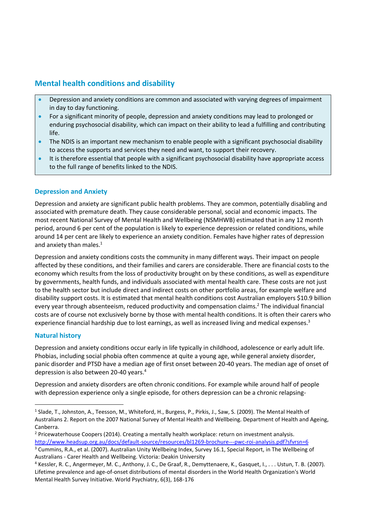# **Mental health conditions and disability**

- Depression and anxiety conditions are common and associated with varying degrees of impairment in day to day functioning.
- For a significant minority of people, depression and anxiety conditions may lead to prolonged or enduring psychosocial disability, which can impact on their ability to lead a fulfilling and contributing life.
- The NDIS is an important new mechanism to enable people with a significant psychosocial disability to access the supports and services they need and want, to support their recovery.
- It is therefore essential that people with a significant psychosocial disability have appropriate access to the full range of benefits linked to the NDIS.

### **Depression and Anxiety**

Depression and anxiety are significant public health problems. They are common, potentially disabling and associated with premature death. They cause considerable personal, social and economic impacts. The most recent National Survey of Mental Health and Wellbeing (NSMHWB) estimated that in any 12 month period, around 6 per cent of the population is likely to experience depression or related conditions, while around 14 per cent are likely to experience an anxiety condition. Females have higher rates of depression and anxiety than males.<sup>1</sup>

Depression and anxiety conditions costs the community in many different ways. Their impact on people affected by these conditions, and their families and carers are considerable. There are financial costs to the economy which results from the loss of productivity brought on by these conditions, as well as expenditure by governments, health funds, and individuals associated with mental health care. These costs are not just to the health sector but include direct and indirect costs on other portfolio areas, for example welfare and disability support costs. It is estimated that mental health conditions cost Australian employers \$10.9 billion every year through absenteeism, reduced productivity and compensation claims.<sup>2</sup> The individual financial costs are of course not exclusively borne by those with mental health conditions. It is often their carers who experience financial hardship due to lost earnings, as well as increased living and medical expenses.<sup>3</sup>

#### **Natural history**

1

Depression and anxiety conditions occur early in life typically in childhood, adolescence or early adult life. Phobias, including social phobia often commence at quite a young age, while general anxiety disorder, panic disorder and PTSD have a median age of first onset between 20-40 years. The median age of onset of depression is also between 20-40 years.<sup>4</sup>

Depression and anxiety disorders are often chronic conditions. For example while around half of people with depression experience only a single episode, for others depression can be a chronic relapsing-

<sup>&</sup>lt;sup>1</sup> Slade, T., Johnston, A., Teesson, M., Whiteford, H., Burgess, P., Pirkis, J., Saw, S. (2009). The Mental Health of Australians 2. Report on the 2007 National Survey of Mental Health and Wellbeing. Department of Health and Ageing, Canberra.

<sup>&</sup>lt;sup>2</sup> Pricewaterhouse Coopers (2014). Creating a mentally health workplace: return on investment analysis. <http://www.headsup.org.au/docs/default-source/resources/bl1269-brochure---pwc-roi-analysis.pdf?sfvrsn=6>

<sup>&</sup>lt;sup>3</sup> Cummins, R.A., et al. (2007). Australian Unity Wellbeing Index, Survey 16.1, Special Report, in The Wellbeing of Australians - Carer Health and Wellbeing. Victoria: Deakin University

<sup>4</sup> Kessler, R. C., Angermeyer, M. C., Anthony, J. C., De Graaf, R., Demyttenaere, K., Gasquet, I., . . . Ustun, T. B. (2007). Lifetime prevalence and age-of-onset distributions of mental disorders in the World Health Organization's World Mental Health Survey Initiative. World Psychiatry, 6(3), 168-176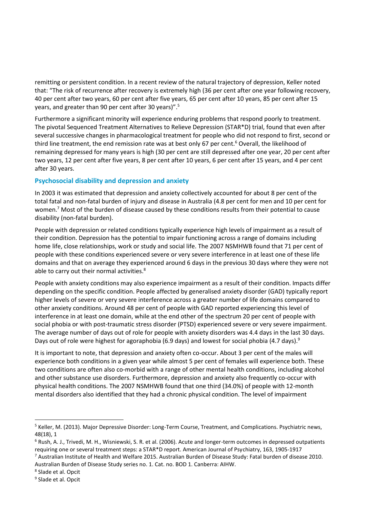remitting or persistent condition. In a recent review of the natural trajectory of depression, Keller noted that: "The risk of recurrence after recovery is extremely high (36 per cent after one year following recovery, 40 per cent after two years, 60 per cent after five years, 65 per cent after 10 years, 85 per cent after 15 years, and greater than 90 per cent after 30 years)".<sup>5</sup>

Furthermore a significant minority will experience enduring problems that respond poorly to treatment. The pivotal Sequenced Treatment Alternatives to Relieve Depression (STAR\*D) trial, found that even after several successive changes in pharmacological treatment for people who did not respond to first, second or third line treatment, the end remission rate was at best only 67 per cent.<sup>6</sup> Overall, the likelihood of remaining depressed for many years is high (30 per cent are still depressed after one year, 20 per cent after two years, 12 per cent after five years, 8 per cent after 10 years, 6 per cent after 15 years, and 4 per cent after 30 years.

#### **Psychosocial disability and depression and anxiety**

In 2003 it was estimated that depression and anxiety collectively accounted for about 8 per cent of the total fatal and non-fatal burden of injury and disease in Australia (4.8 per cent for men and 10 per cent for women.<sup>7</sup> Most of the burden of disease caused by these conditions results from their potential to cause disability (non-fatal burden).

People with depression or related conditions typically experience high levels of impairment as a result of their condition. Depression has the potential to impair functioning across a range of domains including home life, close relationships, work or study and social life. The 2007 NSMHWB found that 71 per cent of people with these conditions experienced severe or very severe interference in at least one of these life domains and that on average they experienced around 6 days in the previous 30 days where they were not able to carry out their normal activities.<sup>8</sup>

People with anxiety conditions may also experience impairment as a result of their condition. Impacts differ depending on the specific condition. People affected by generalised anxiety disorder (GAD) typically report higher levels of severe or very severe interference across a greater number of life domains compared to other anxiety conditions. Around 48 per cent of people with GAD reported experiencing this level of interference in at least one domain, while at the end other of the spectrum 20 per cent of people with social phobia or with post-traumatic stress disorder (PTSD) experienced severe or very severe impairment. The average number of days out of role for people with anxiety disorders was 4.4 days in the last 30 days. Days out of role were highest for agoraphobia (6.9 days) and lowest for social phobia (4.7 days).<sup>9</sup>

It is important to note, that depression and anxiety often co-occur. About 3 per cent of the males will experience both conditions in a given year while almost 5 per cent of females will experience both. These two conditions are often also co-morbid with a range of other mental health conditions, including alcohol and other substance use disorders. Furthermore, depression and anxiety also frequently co-occur with physical health conditions. The 2007 NSMHWB found that one third (34.0%) of people with 12-month mental disorders also identified that they had a chronic physical condition. The level of impairment

**.** 

<sup>&</sup>lt;sup>5</sup> Keller, M. (2013). Major Depressive Disorder: Long-Term Course, Treatment, and Complications. Psychiatric news, 48(18), 1

<sup>6</sup> Rush, A. J., Trivedi, M. H., Wisniewski, S. R. et al. (2006). Acute and longer-term outcomes in depressed outpatients requiring one or several treatment steps: a STAR\*D report. American Journal of Psychiatry, 163, 1905-1917

<sup>7</sup> Australian Institute of Health and Welfare 2015. Australian Burden of Disease Study: Fatal burden of disease 2010. Australian Burden of Disease Study series no. 1. Cat. no. BOD 1. Canberra: AIHW.

<sup>8</sup> Slade et al. Opcit

<sup>&</sup>lt;sup>9</sup> Slade et al. Opcit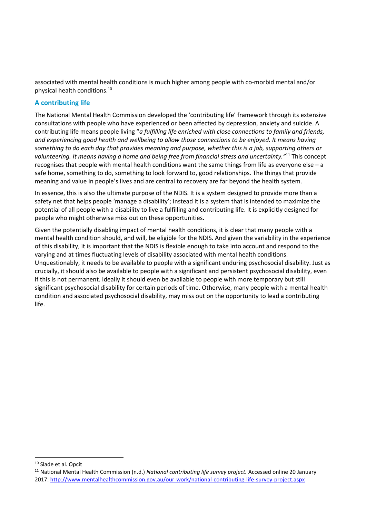associated with mental health conditions is much higher among people with co-morbid mental and/or physical health conditions.<sup>10</sup>

#### **A contributing life**

The National Mental Health Commission developed the 'contributing life' framework through its extensive consultations with people who have experienced or been affected by depression, anxiety and suicide. A contributing life means people living "*a fulfilling life enriched with close connections to family and friends, and experiencing good health and wellbeing to allow those connections to be enjoyed. It means having something to do each day that provides meaning and purpose, whether this is a job, supporting others or volunteering. It means having a home and being free from financial stress and uncertainty."*<sup>11</sup> This concept recognises that people with mental health conditions want the same things from life as everyone else – a safe home, something to do, something to look forward to, good relationships. The things that provide meaning and value in people's lives and are central to recovery are far beyond the health system.

In essence, this is also the ultimate purpose of the NDIS. It is a system designed to provide more than a safety net that helps people 'manage a disability'; instead it is a system that is intended to maximize the potential of all people with a disability to live a fulfilling and contributing life. It is explicitly designed for people who might otherwise miss out on these opportunities.

Given the potentially disabling impact of mental health conditions, it is clear that many people with a mental health condition should, and will, be eligible for the NDIS. And given the variability in the experience of this disability, it is important that the NDIS is flexible enough to take into account and respond to the varying and at times fluctuating levels of disability associated with mental health conditions. Unquestionably, it needs to be available to people with a significant enduring psychosocial disability. Just as crucially, it should also be available to people with a significant and persistent psychosocial disability, even if this is not permanent. Ideally it should even be available to people with more temporary but still significant psychosocial disability for certain periods of time. Otherwise, many people with a mental health condition and associated psychosocial disability, may miss out on the opportunity to lead a contributing life.

1

<sup>10</sup> Slade et al. Opcit

<sup>11</sup> National Mental Health Commission (n.d.) *National contributing life survey project.* Accessed online 20 January 2017:<http://www.mentalhealthcommission.gov.au/our-work/national-contributing-life-survey-project.aspx>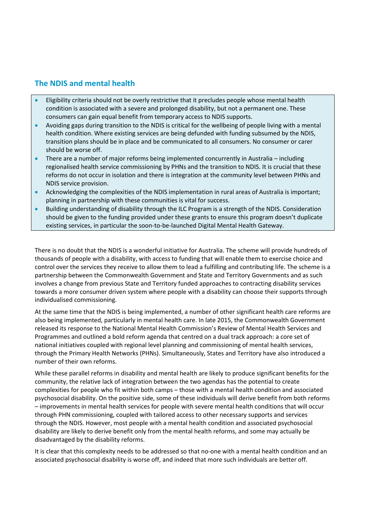# **The NDIS and mental health**

- Eligibility criteria should not be overly restrictive that it precludes people whose mental health condition is associated with a severe and prolonged disability, but not a permanent one. These consumers can gain equal benefit from temporary access to NDIS supports.
- Avoiding gaps during transition to the NDIS is critical for the wellbeing of people living with a mental health condition. Where existing services are being defunded with funding subsumed by the NDIS, transition plans should be in place and be communicated to all consumers. No consumer or carer should be worse off.
- There are a number of major reforms being implemented concurrently in Australia including regionalised health service commissioning by PHNs and the transition to NDIS. It is crucial that these reforms do not occur in isolation and there is integration at the community level between PHNs and NDIS service provision.
- Acknowledging the complexities of the NDIS implementation in rural areas of Australia is important; planning in partnership with these communities is vital for success.
- Building understanding of disability through the ILC Program is a strength of the NDIS. Consideration should be given to the funding provided under these grants to ensure this program doesn't duplicate existing services, in particular the soon-to-be-launched Digital Mental Health Gateway.

There is no doubt that the NDIS is a wonderful initiative for Australia. The scheme will provide hundreds of thousands of people with a disability, with access to funding that will enable them to exercise choice and control over the services they receive to allow them to lead a fulfilling and contributing life. The scheme is a partnership between the Commonwealth Government and State and Territory Governments and as such involves a change from previous State and Territory funded approaches to contracting disability services towards a more consumer driven system where people with a disability can choose their supports through individualised commissioning.

At the same time that the NDIS is being implemented, a number of other significant health care reforms are also being implemented, particularly in mental health care. In late 2015, the Commonwealth Government released its response to the National Mental Health Commission's Review of Mental Health Services and Programmes and outlined a bold reform agenda that centred on a dual track approach: a core set of national initiatives coupled with regional level planning and commissioning of mental health services, through the Primary Health Networks (PHNs). Simultaneously, States and Territory have also introduced a number of their own reforms.

While these parallel reforms in disability and mental health are likely to produce significant benefits for the community, the relative lack of integration between the two agendas has the potential to create complexities for people who fit within both camps – those with a mental health condition and associated psychosocial disability. On the positive side, some of these individuals will derive benefit from both reforms – improvements in mental health services for people with severe mental health conditions that will occur through PHN commissioning, coupled with tailored access to other necessary supports and services through the NDIS. However, most people with a mental health condition and associated psychosocial disability are likely to derive benefit only from the mental health reforms, and some may actually be disadvantaged by the disability reforms.

It is clear that this complexity needs to be addressed so that no-one with a mental health condition and an associated psychosocial disability is worse off, and indeed that more such individuals are better off.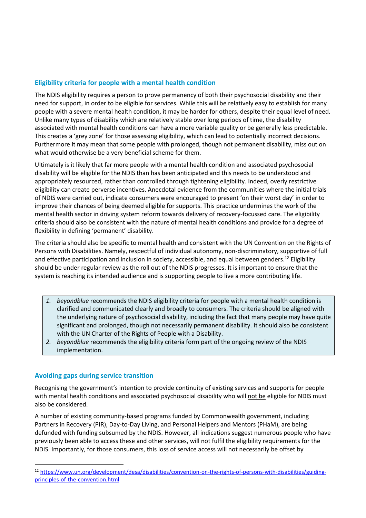#### **Eligibility criteria for people with a mental health condition**

The NDIS eligibility requires a person to prove permanency of both their psychosocial disability and their need for support, in order to be eligible for services. While this will be relatively easy to establish for many people with a severe mental health condition, it may be harder for others, despite their equal level of need. Unlike many types of disability which are relatively stable over long periods of time, the disability associated with mental health conditions can have a more variable quality or be generally less predictable. This creates a 'grey zone' for those assessing eligibility, which can lead to potentially incorrect decisions. Furthermore it may mean that some people with prolonged, though not permanent disability, miss out on what would otherwise be a very beneficial scheme for them.

Ultimately is it likely that far more people with a mental health condition and associated psychosocial disability will be eligible for the NDIS than has been anticipated and this needs to be understood and appropriately resourced, rather than controlled through tightening eligibility. Indeed, overly restrictive eligibility can create perverse incentives. Anecdotal evidence from the communities where the initial trials of NDIS were carried out, indicate consumers were encouraged to present 'on their worst day' in order to improve their chances of being deemed eligible for supports. This practice undermines the work of the mental health sector in driving system reform towards delivery of recovery-focussed care. The eligibility criteria should also be consistent with the nature of mental health conditions and provide for a degree of flexibility in defining 'permanent' disability.

The criteria should also be specific to mental health and consistent with the UN Convention on the Rights of Persons with Disabilities. Namely, respectful of individual autonomy, non-discriminatory, supportive of full and effective participation and inclusion in society, accessible, and equal between genders.<sup>12</sup> Eligibility should be under regular review as the roll out of the NDIS progresses. It is important to ensure that the system is reaching its intended audience and is supporting people to live a more contributing life.

- *1. beyondblue* recommends the NDIS eligibility criteria for people with a mental health condition is clarified and communicated clearly and broadly to consumers. The criteria should be aligned with the underlying nature of psychosocial disability, including the fact that many people may have quite significant and prolonged, though not necessarily permanent disability. It should also be consistent with the UN Charter of the Rights of People with a Disability.
- *2. beyondblue* recommends the eligibility criteria form part of the ongoing review of the NDIS implementation.

#### **Avoiding gaps during service transition**

**.** 

Recognising the government's intention to provide continuity of existing services and supports for people with mental health conditions and associated psychosocial disability who will not be eligible for NDIS must also be considered.

A number of existing community-based programs funded by Commonwealth government, including Partners in Recovery (PIR), Day-to-Day Living, and Personal Helpers and Mentors (PHaM), are being defunded with funding subsumed by the NDIS. However, all indications suggest numerous people who have previously been able to access these and other services, will not fulfil the eligibility requirements for the NDIS. Importantly, for those consumers, this loss of service access will not necessarily be offset by

<sup>12</sup> [https://www.un.org/development/desa/disabilities/convention-on-the-rights-of-persons-with-disabilities/guiding](https://www.un.org/development/desa/disabilities/convention-on-the-rights-of-persons-with-disabilities/guiding-principles-of-the-convention.html)[principles-of-the-convention.html](https://www.un.org/development/desa/disabilities/convention-on-the-rights-of-persons-with-disabilities/guiding-principles-of-the-convention.html)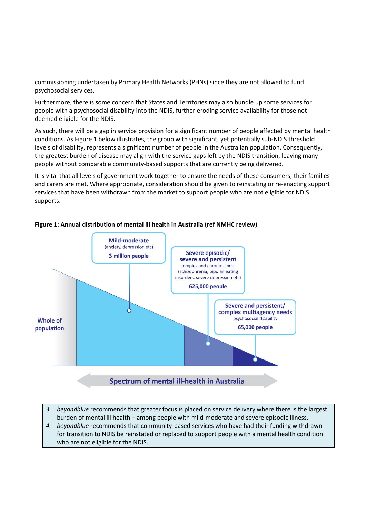commissioning undertaken by Primary Health Networks (PHNs) since they are not allowed to fund psychosocial services.

Furthermore, there is some concern that States and Territories may also bundle up some services for people with a psychosocial disability into the NDIS, further eroding service availability for those not deemed eligible for the NDIS.

As such, there will be a gap in service provision for a significant number of people affected by mental health conditions. As Figure 1 below illustrates, the group with significant, yet potentially sub-NDIS threshold levels of disability, represents a significant number of people in the Australian population. Consequently, the greatest burden of disease may align with the service gaps left by the NDIS transition, leaving many people without comparable community-based supports that are currently being delivered.

It is vital that all levels of government work together to ensure the needs of these consumers, their families and carers are met. Where appropriate, consideration should be given to reinstating or re-enacting support services that have been withdrawn from the market to support people who are not eligible for NDIS supports.



#### **Figure 1: Annual distribution of mental ill health in Australia (ref NMHC review)**

- *3. beyondblue* recommends that greater focus is placed on service delivery where there is the largest burden of mental ill health – among people with mild-moderate and severe episodic illness.
- *4. beyondblue* recommends that community-based services who have had their funding withdrawn for transition to NDIS be reinstated or replaced to support people with a mental health condition who are not eligible for the NDIS.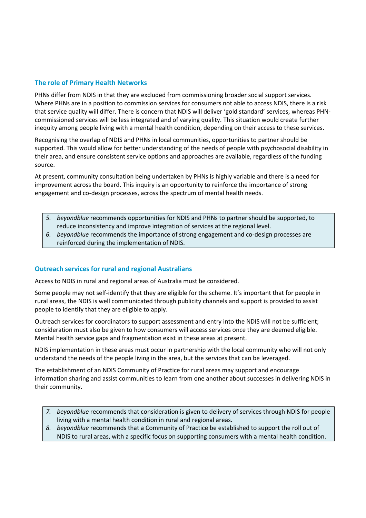#### **The role of Primary Health Networks**

PHNs differ from NDIS in that they are excluded from commissioning broader social support services. Where PHNs are in a position to commission services for consumers not able to access NDIS, there is a risk that service quality will differ. There is concern that NDIS will deliver 'gold standard' services, whereas PHNcommissioned services will be less integrated and of varying quality. This situation would create further inequity among people living with a mental health condition, depending on their access to these services.

Recognising the overlap of NDIS and PHNs in local communities, opportunities to partner should be supported. This would allow for better understanding of the needs of people with psychosocial disability in their area, and ensure consistent service options and approaches are available, regardless of the funding source.

At present, community consultation being undertaken by PHNs is highly variable and there is a need for improvement across the board. This inquiry is an opportunity to reinforce the importance of strong engagement and co-design processes, across the spectrum of mental health needs.

- *5. beyondblue* recommends opportunities for NDIS and PHNs to partner should be supported, to reduce inconsistency and improve integration of services at the regional level.
- *6. beyondblue* recommends the importance of strong engagement and co-design processes are reinforced during the implementation of NDIS.

#### **Outreach services for rural and regional Australians**

Access to NDIS in rural and regional areas of Australia must be considered.

Some people may not self-identify that they are eligible for the scheme. It's important that for people in rural areas, the NDIS is well communicated through publicity channels and support is provided to assist people to identify that they are eligible to apply.

Outreach services for coordinators to support assessment and entry into the NDIS will not be sufficient; consideration must also be given to how consumers will access services once they are deemed eligible. Mental health service gaps and fragmentation exist in these areas at present.

NDIS implementation in these areas must occur in partnership with the local community who will not only understand the needs of the people living in the area, but the services that can be leveraged.

The establishment of an NDIS Community of Practice for rural areas may support and encourage information sharing and assist communities to learn from one another about successes in delivering NDIS in their community.

- *7. beyondblue* recommends that consideration is given to delivery of services through NDIS for people living with a mental health condition in rural and regional areas.
- *8. beyondblue* recommends that a Community of Practice be established to support the roll out of NDIS to rural areas, with a specific focus on supporting consumers with a mental health condition.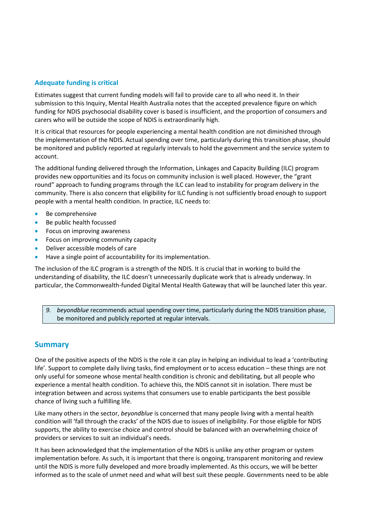#### **Adequate funding is critical**

Estimates suggest that current funding models will fail to provide care to all who need it. In their submission to this Inquiry, Mental Health Australia notes that the accepted prevalence figure on which funding for NDIS psychosocial disability cover is based is insufficient, and the proportion of consumers and carers who will be outside the scope of NDIS is extraordinarily high.

It is critical that resources for people experiencing a mental health condition are not diminished through the implementation of the NDIS. Actual spending over time, particularly during this transition phase, should be monitored and publicly reported at regularly intervals to hold the government and the service system to account.

The additional funding delivered through the Information, Linkages and Capacity Building (ILC) program provides new opportunities and its focus on community inclusion is well placed. However, the "grant round" approach to funding programs through the ILC can lead to instability for program delivery in the community. There is also concern that eligibility for ILC funding is not sufficiently broad enough to support people with a mental health condition. In practice, ILC needs to:

- Be comprehensive
- Be public health focussed
- Focus on improving awareness
- Focus on improving community capacity
- Deliver accessible models of care
- Have a single point of accountability for its implementation.

The inclusion of the ILC program is a strength of the NDIS. It is crucial that in working to build the understanding of disability, the ILC doesn't unnecessarily duplicate work that is already underway. In particular, the Commonwealth-funded Digital Mental Health Gateway that will be launched later this year.

*9. beyondblue* recommends actual spending over time, particularly during the NDIS transition phase, be monitored and publicly reported at regular intervals.

### **Summary**

One of the positive aspects of the NDIS is the role it can play in helping an individual to lead a 'contributing life'. Support to complete daily living tasks, find employment or to access education – these things are not only useful for someone whose mental health condition is chronic and debilitating, but all people who experience a mental health condition. To achieve this, the NDIS cannot sit in isolation. There must be integration between and across systems that consumers use to enable participants the best possible chance of living such a fulfilling life.

Like many others in the sector, *beyondblue* is concerned that many people living with a mental health condition will 'fall through the cracks' of the NDIS due to issues of ineligibility. For those eligible for NDIS supports, the ability to exercise choice and control should be balanced with an overwhelming choice of providers or services to suit an individual's needs.

It has been acknowledged that the implementation of the NDIS is unlike any other program or system implementation before. As such, it is important that there is ongoing, transparent monitoring and review until the NDIS is more fully developed and more broadly implemented. As this occurs, we will be better informed as to the scale of unmet need and what will best suit these people. Governments need to be able